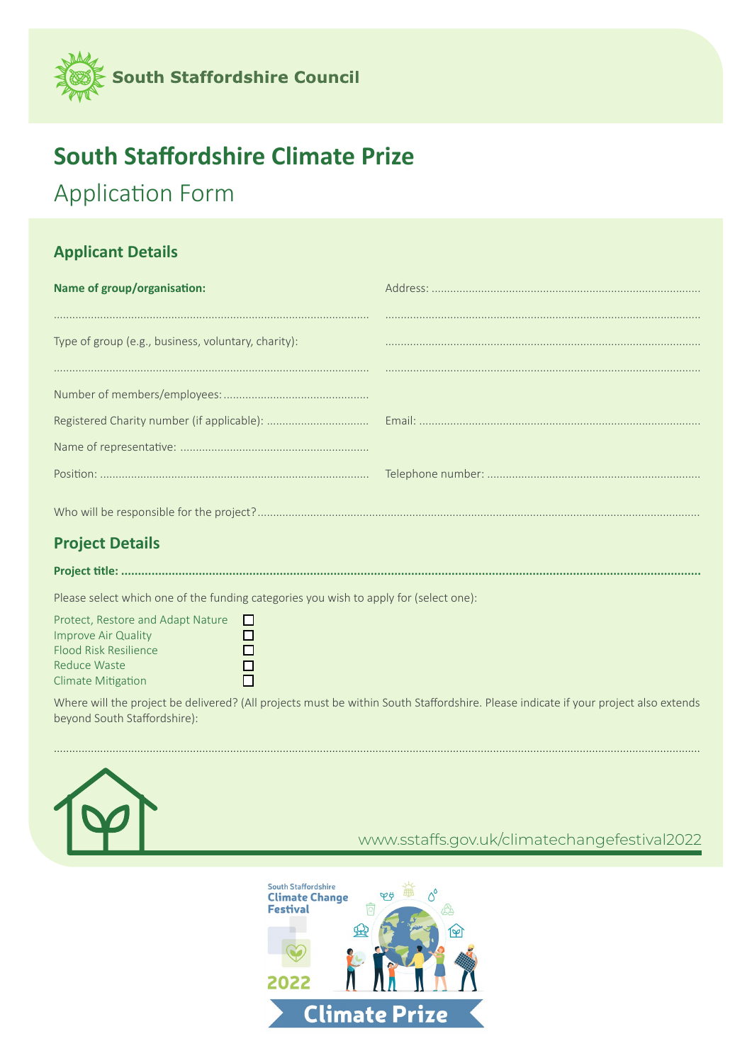

# **South Staffordshire Climate Prize**

# **Application Form**

### **Applicant Details**

| Name of group/organisation:                         |  |
|-----------------------------------------------------|--|
|                                                     |  |
| Type of group (e.g., business, voluntary, charity): |  |
|                                                     |  |
|                                                     |  |
|                                                     |  |
|                                                     |  |
|                                                     |  |
|                                                     |  |

## **Project Details**

Project title: .......................

Please select which one of the funding categories you wish to apply for (select one):

Protect, Restore and Adapt Nature  $\Box$ Improve Air Quality  $\Box$ Flood Risk Resilience  $\Box$ Reduce Waste  $\Box$ Climate Mitigation  $\Box$ 

Where will the project be delivered? (All projects must be within South Staffordshire. Please indicate if your project also extends beyond South Staffordshire):



#### www.sstaffs.gov.uk/climatechangefestival2022

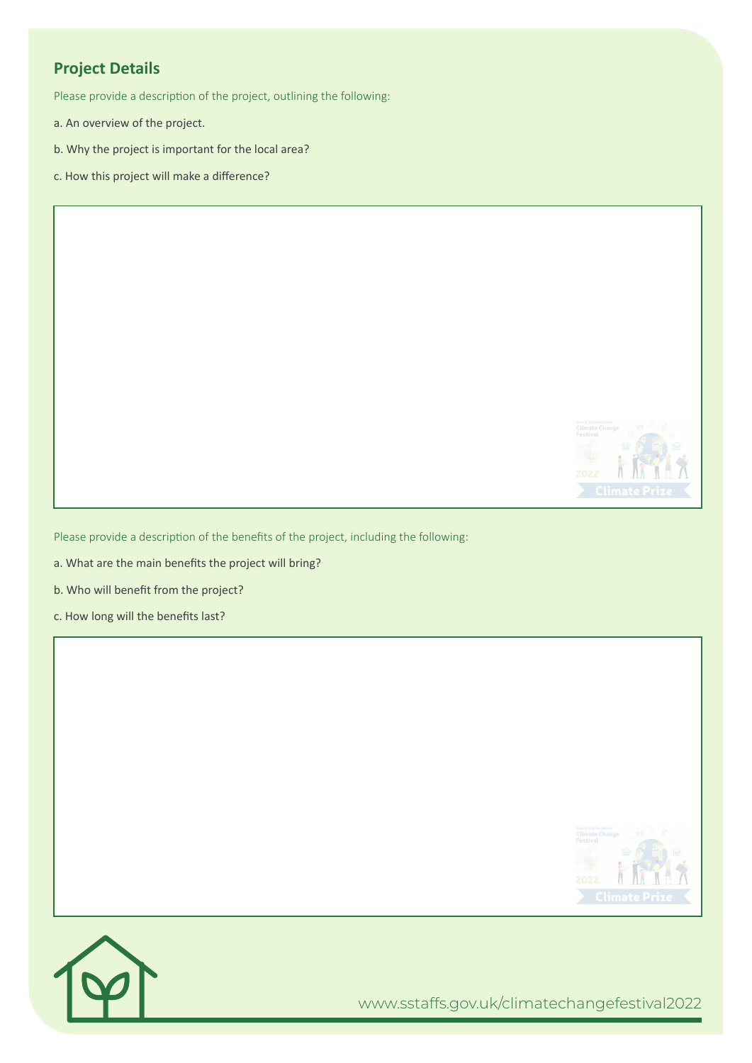## **Project Details**

Please provide a description of the project, outlining the following:

- a. An overview of the project.
- b. Why the project is important for the local area?
- c. How this project will make a difference?



Please provide a description of the benefits of the project, including the following:

a. What are the main benefits the project will bring?

b. Who will benefit from the project?

c. How long will the benefits last?





www.sstaffs.gov.uk/climatechangefestival2022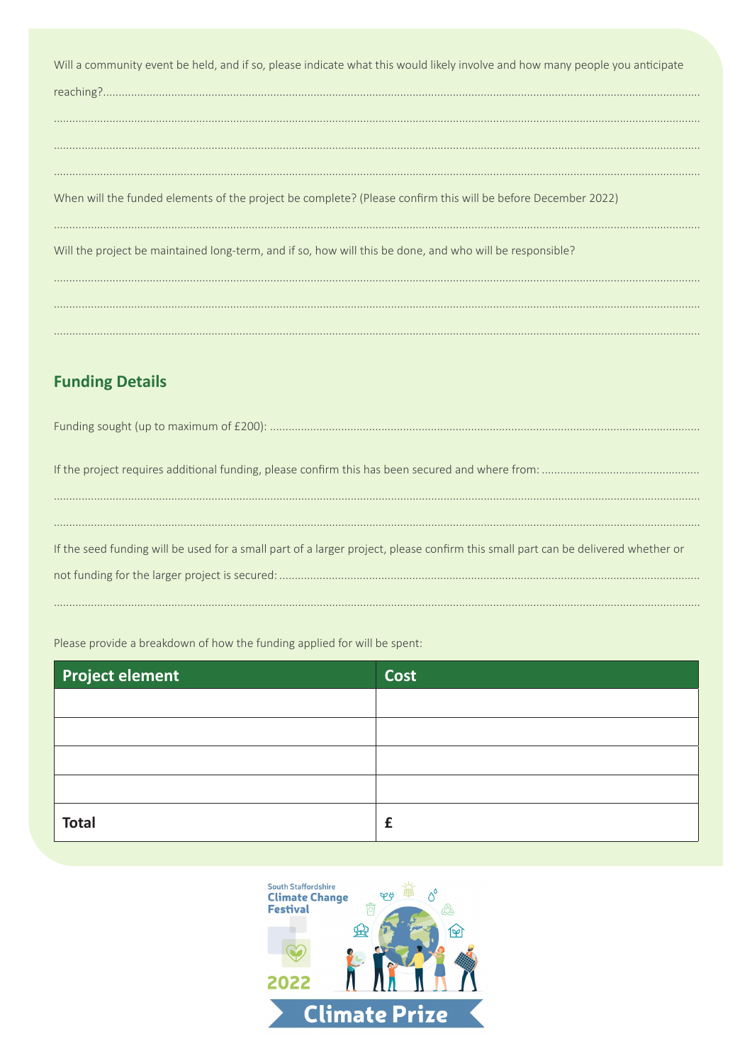Will a community event be held, and if so, please indicate what this would likely involve and how many people you anticipate

When will the funded elements of the project be complete? (Please confirm this will be before December 2022)

Will the project be maintained long-term, and if so, how will this be done, and who will be responsible?

### **Funding Details**

| If the seed funding will be used for a small part of a larger project, please confirm this small part can be delivered whether or |
|-----------------------------------------------------------------------------------------------------------------------------------|
|                                                                                                                                   |
|                                                                                                                                   |

Please provide a breakdown of how the funding applied for will be spent:

| <b>Project element</b> | <b>Cost</b> |
|------------------------|-------------|
|                        |             |
|                        |             |
|                        |             |
|                        |             |
| <b>Total</b>           | £           |